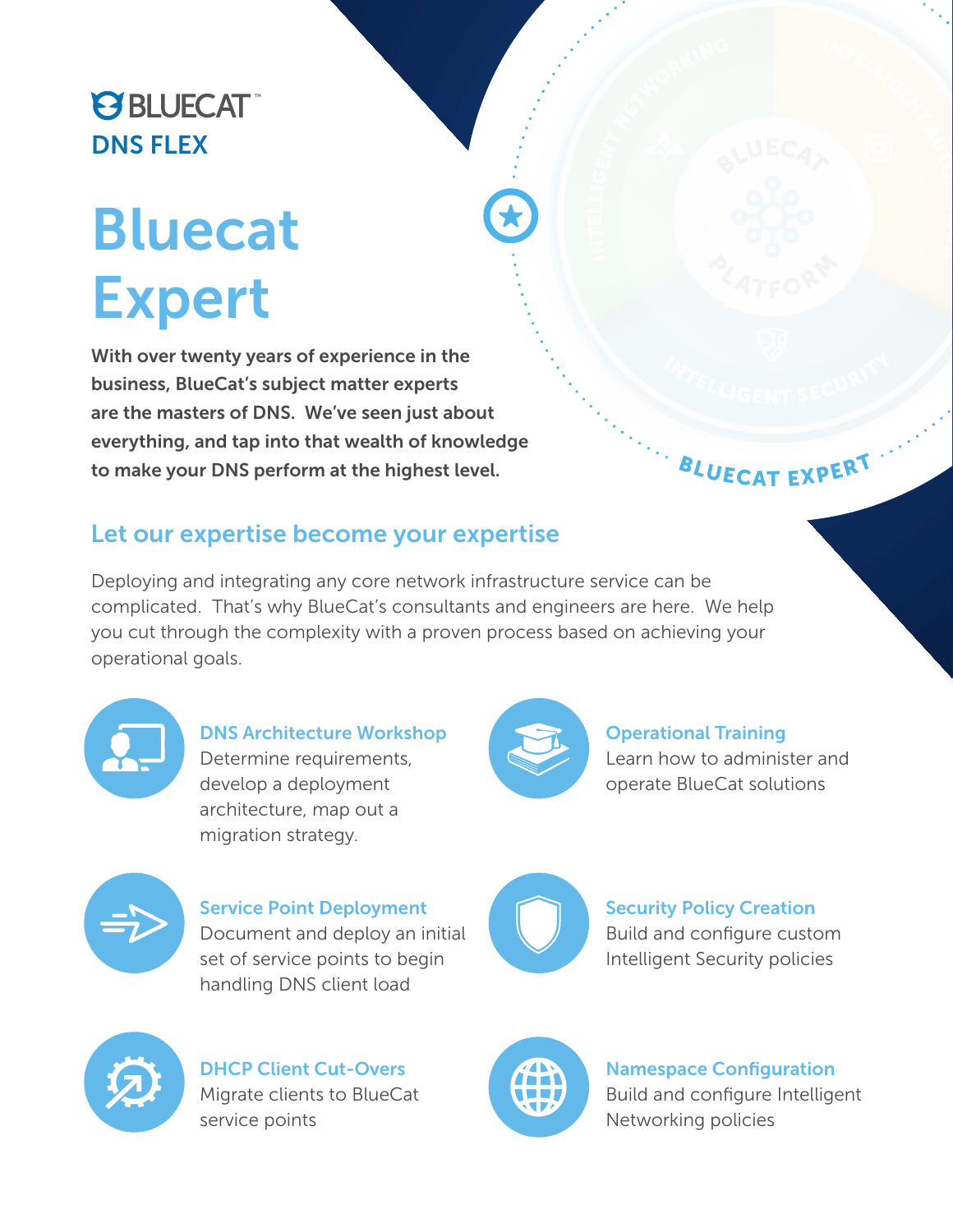# **PS BLUECAT** DNS FLEX

# Bluecat Expert

With over twenty years of experience in the business, BlueCat's subject matter experts are the masters of DNS. We've seen just about everything, and tap into that wealth of knowledge to make your DNS perform at the highest level.

## BLUECAT EXPERT

#### Let our expertise become your expertise

Deploying and integrating any core network infrastructure service can be complicated. That's why BlueCat's consultants and engineers are here. We help you cut through the complexity with a proven process based on achieving your operational goals.



DNS Architecture Workshop Determine requirements, develop a deployment architecture, map out a migration strategy.



Operational Training

Learn how to administer and operate BlueCat solutions



Service Point Deployment Document and deploy an initial set of service points to begin handling DNS client load



#### Security Policy Creation

Build and configure custom Intelligent Security policies



DHCP Client Cut-Overs Migrate clients to BlueCat service points



Namespace Configuration Build and configure Intelligent Networking policies